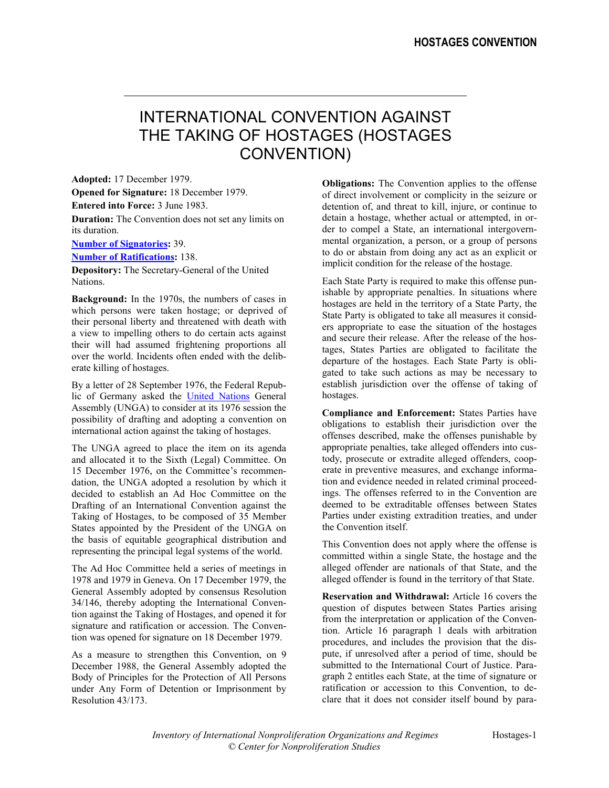## INTERNATIONAL CONVENTION AGAINST THE TAKING OF HOSTAGES (HOSTAGES CONVENTION)

**Adopted:** 17 December 1979. **Obligations:** The Convention applies to the offense **Opened for Signature:** 18 December 1979. **Entered into Force:** 3 June 1983. **Duration:** The Convention does not set any limits on its duration. **Number of Signatories:** 39.

**Number of Ratifications:** 138.

**Depository:** The Secretary-General of the United Nations. Each State Party is required to make this offense pun-

**Background:** In the 1970s, the numbers of cases in which persons were taken hostage; or deprived of their personal liberty and threatened with death with a view to impelling others to do certain acts against their will had assumed frightening proportions all over the world. Incidents often ended with the deliberate killing of hostages.

By a letter of 28 September 1976, the Federal Republic of Germany asked the United Nations General Assembly (UNGA) to consider at its 1976 session the possibility of drafting and adopting a convention on international action against the taking of hostages.

The UNGA agreed to place the item on its agenda and allocated it to the Sixth (Legal) Committee. On 15 December 1976, on the Committee's recommendation, the UNGA adopted a resolution by which it decided to establish an Ad Hoc Committee on the Drafting of an International Convention against the Taking of Hostages, to be composed of 35 Member States appointed by the President of the UNGA on the basis of equitable geographical distribution and representing the principal legal systems of the world. This Convention does not apply where the offense is representing the principal legal systems of the world.

The Ad Hoc Committee held a series of meetings in 1978 and 1979 in Geneva. On 17 December 1979, the General Assembly adopted by consensus Resolution 34/146, thereby adopting the International Convention against the Taking of Hostages, and opened it for signature and ratification or accession. The Convention was opened for signature on 18 December 1979.

As a measure to strengthen this Convention, on 9 December 1988, the General Assembly adopted the Body of Principles for the Protection of All Persons under Any Form of Detention or Imprisonment by Resolution 43/173.

of direct involvement or complicity in the seizure or detention of, and threat to kill, injure, or continue to detain a hostage, whether actual or attempted, in order to compel a State, an international intergovernmental organization, a person, or a group of persons to do or abstain from doing any act as an explicit or implicit condition for the release of the hostage.

ishable by appropriate penalties. In situations where hostages are held in the territory of a State Party, the State Party is obligated to take all measures it considers appropriate to ease the situation of the hostages and secure their release. After the release of the hostages, States Parties are obligated to facilitate the departure of the hostages. Each State Party is obligated to take such actions as may be necessary to establish jurisdiction over the offense of taking of hostages.

**Compliance and Enforcement:** States Parties have obligations to establish their jurisdiction over the offenses described, make the offenses punishable by appropriate penalties, take alleged offenders into custody, prosecute or extradite alleged offenders, cooperate in preventive measures, and exchange information and evidence needed in related criminal proceedings. The offenses referred to in the Convention are deemed to be extraditable offenses between States Parties under existing extradition treaties, and under the Convention itself.

committed within a single State, the hostage and the alleged offender are nationals of that State, and the alleged offender is found in the territory of that State.

**Reservation and Withdrawal:** Article 16 covers the question of disputes between States Parties arising from the interpretation or application of the Convention. Article 16 paragraph 1 deals with arbitration procedures, and includes the provision that the dispute, if unresolved after a period of time, should be submitted to the International Court of Justice. Paragraph 2 entitles each State, at the time of signature or ratification or accession to this Convention, to declare that it does not consider itself bound by para-